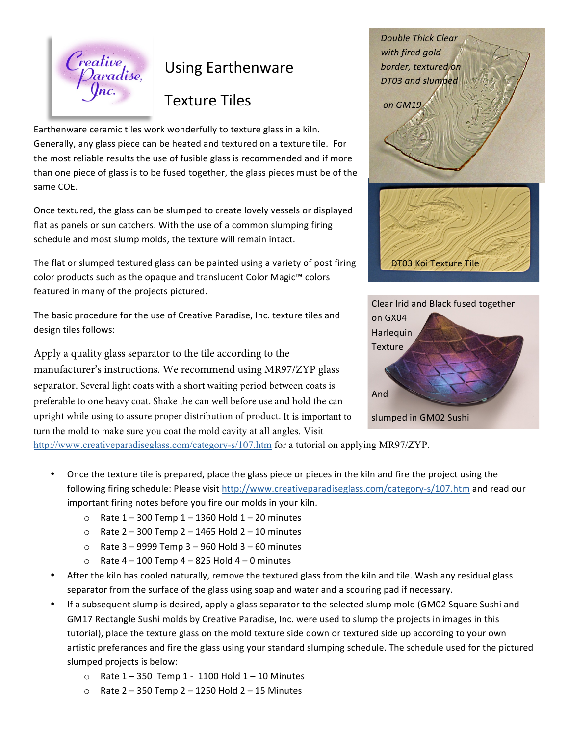

## Using Earthenware

## Texture Tiles

Earthenware ceramic tiles work wonderfully to texture glass in a kiln. Generally, any glass piece can be heated and textured on a texture tile. For the most reliable results the use of fusible glass is recommended and if more than one piece of glass is to be fused together, the glass pieces must be of the same COE.

Once textured, the glass can be slumped to create lovely vessels or displayed flat as panels or sun catchers. With the use of a common slumping firing schedule and most slump molds, the texture will remain intact.

The flat or slumped textured glass can be painted using a variety of post firing color products such as the opaque and translucent Color Magic<sup>™</sup> colors featured in many of the projects pictured.

The basic procedure for the use of Creative Paradise, Inc. texture tiles and design tiles follows:

Apply a quality glass separator to the tile according to the manufacturer's instructions. We recommend using MR97/ZYP glass separator. Several light coats with a short waiting period between coats is preferable to one heavy coat. Shake the can well before use and hold the can upright while using to assure proper distribution of product. It is important to turn the mold to make sure you coat the mold cavity at all angles. Visit

with fired gold border, textured on *DT03 and slumped on GM19* DT03 Koi Texture Tile

**Double Thick Clear** 



http://www.creativeparadiseglass.com/category-s/107.htm for a tutorial on applying MR97/ZYP.

- Once the texture tile is prepared, place the glass piece or pieces in the kiln and fire the project using the following firing schedule: Please visit http://www.creativeparadiseglass.com/category-s/107.htm and read our important firing notes before you fire our molds in your kiln.
	- $\circ$  Rate 1 300 Temp 1 1360 Hold 1 20 minutes
	- $\circ$  Rate 2 300 Temp 2 1465 Hold 2 10 minutes
	- $\circ$  Rate 3 9999 Temp 3 960 Hold 3 60 minutes
	- $\circ$  Rate 4 100 Temp 4 825 Hold 4 0 minutes
- After the kiln has cooled naturally, remove the textured glass from the kiln and tile. Wash any residual glass separator from the surface of the glass using soap and water and a scouring pad if necessary.
- If a subsequent slump is desired, apply a glass separator to the selected slump mold (GM02 Square Sushi and GM17 Rectangle Sushi molds by Creative Paradise, Inc. were used to slump the projects in images in this tutorial), place the texture glass on the mold texture side down or textured side up according to your own artistic preferances and fire the glass using your standard slumping schedule. The schedule used for the pictured slumped projects is below:
	- $\circ$  Rate 1 350 Temp 1 1100 Hold 1 10 Minutes
	- $\circ$  Rate 2 350 Temp 2 1250 Hold 2 15 Minutes